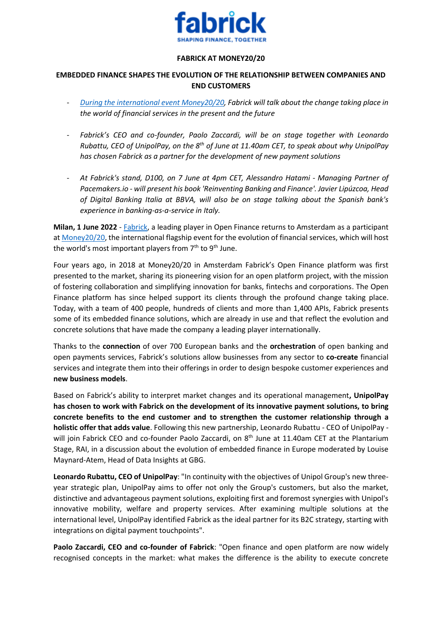

## **FABRICK AT MONEY20/20**

## **EMBEDDED FINANCE SHAPES THE EVOLUTION OF THE RELATIONSHIP BETWEEN COMPANIES AND END CUSTOMERS**

- *[During the international event Money20/20,](file:///C:/Users/BC-COMM/Dropbox/Fabrick/comunicati%20stampa/2022/10.MONEY%202020/Europe%20Money%2020/20%20-%20Fabrick) Fabrick will talk about the change taking place in the world of financial services in the present and the future*
- *Fabrick's CEO and co-founder, Paolo Zaccardi, will be on stage together with Leonardo Rubattu, CEO of UnipolPay, on the 8th of June at 11.40am CET, to speak about why UnipolPay has chosen Fabrick as a partner for the development of new payment solutions*
- *At Fabrick's stand, D100, on 7 June at 4pm CET, Alessandro Hatami - Managing Partner of Pacemakers.io - will present his book 'Reinventing Banking and Finance'. Javier Lipúzcoa, Head of Digital Banking Italia at BBVA, will also be on stage talking about the Spanish bank's experience in banking-as-a-service in Italy.*

**Milan, 1 June 2022** - [Fabrick,](https://www.fabrick.com/) a leading player in Open Finance returns to Amsterdam as a participant at [Money20/20,](https://www.fabrick.com/europemoney2020) the international flagship event for the evolution of financial services, which will host the world's most important players from  $7<sup>th</sup>$  to  $9<sup>th</sup>$  June.

Four years ago, in 2018 at Money20/20 in Amsterdam Fabrick's Open Finance platform was first presented to the market, sharing its pioneering vision for an open platform project, with the mission of fostering collaboration and simplifying innovation for banks, fintechs and corporations. The Open Finance platform has since helped support its clients through the profound change taking place. Today, with a team of 400 people, hundreds of clients and more than 1,400 APIs, Fabrick presents some of its embedded finance solutions, which are already in use and that reflect the evolution and concrete solutions that have made the company a leading player internationally.

Thanks to the **connection** of over 700 European banks and the **orchestration** of open banking and open payments services, Fabrick's solutions allow businesses from any sector to **co-create** financial services and integrate them into their offerings in order to design bespoke customer experiences and **new business models**.

Based on Fabrick's ability to interpret market changes and its operational management**, UnipolPay has chosen to work with Fabrick on the development of its innovative payment solutions, to bring concrete benefits to the end customer and to strengthen the customer relationship through a holistic offer that adds value**. Following this new partnership, Leonardo Rubattu - CEO of UnipolPay will join Fabrick CEO and co-founder Paolo Zaccardi, on 8<sup>th</sup> June at 11.40am CET at the Plantarium Stage, RAI, in a discussion about the evolution of embedded finance in Europe moderated by Louise Maynard-Atem, Head of Data Insights at GBG.

**Leonardo Rubattu, CEO of UnipolPay**: "In continuity with the objectives of Unipol Group's new threeyear strategic plan, UnipolPay aims to offer not only the Group's customers, but also the market, distinctive and advantageous payment solutions, exploiting first and foremost synergies with Unipol's innovative mobility, welfare and property services. After examining multiple solutions at the international level, UnipolPay identified Fabrick as the ideal partner for its B2C strategy, starting with integrations on digital payment touchpoints".

**Paolo Zaccardi, CEO and co-founder of Fabrick**: "Open finance and open platform are now widely recognised concepts in the market: what makes the difference is the ability to execute concrete